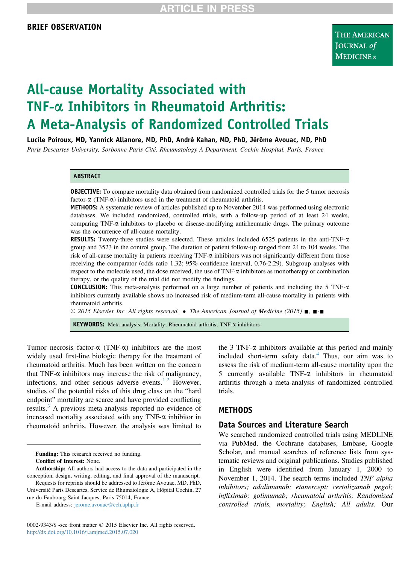# All-cause Mortality Associated with TNF-a Inhibitors in Rheumatoid Arthritis: A Meta-Analysis of Randomized Controlled Trials

Lucile Poiroux, MD, Yannick Allanore, MD, PhD, André Kahan, MD, PhD, Jérôme Avouac, MD, PhD

Paris Descartes University, Sorbonne Paris Cité, Rheumatology A Department, Cochin Hospital, Paris, France

#### ABSTRACT

OBJECTIVE: To compare mortality data obtained from randomized controlled trials for the 5 tumor necrosis factor- $\alpha$  (TNF- $\alpha$ ) inhibitors used in the treatment of rheumatoid arthritis.

METHODS: A systematic review of articles published up to November 2014 was performed using electronic databases. We included randomized, controlled trials, with a follow-up period of at least 24 weeks, comparing TNF- $\alpha$  inhibitors to placebo or disease-modifying antirheumatic drugs. The primary outcome was the occurrence of all-cause mortality.

RESULTS: Twenty-three studies were selected. These articles included 6525 patients in the anti-TNF- $\alpha$ group and 3523 in the control group. The duration of patient follow-up ranged from 24 to 104 weeks. The risk of all-cause mortality in patients receiving  $TNF-\alpha$  inhibitors was not significantly different from those receiving the comparator (odds ratio 1.32; 95% confidence interval, 0.76-2.29). Subgroup analyses with respect to the molecule used, the dose received, the use of TNF-a inhibitors as monotherapy or combination therapy, or the quality of the trial did not modify the findings.

CONCLUSION: This meta-analysis performed on a large number of patients and including the 5 TNF-a inhibitors currently available shows no increased risk of medium-term all-cause mortality in patients with rheumatoid arthritis.

 $\degree$  2015 Elsevier Inc. All rights reserved.  $\bullet$  The American Journal of Medicine (2015)  $\blacksquare$ ,  $\blacksquare$ - $\blacksquare$ 

KEYWORDS: Meta-analysis; Mortality; Rheumatoid arthritis; TNF- $\alpha$  inhibitors

Tumor necrosis factor- $\alpha$  (TNF- $\alpha$ ) inhibitors are the most widely used first-line biologic therapy for the treatment of rheumatoid arthritis. Much has been written on the concern that TNF- $\alpha$  inhibitors may increase the risk of malignancy, infections, and other serious adverse events.<sup>[1,2](#page-5-0)</sup> However, studies of the potential risks of this drug class on the "hard endpoint" mortality are scarce and have provided conflicting results.<sup>[3](#page-5-0)</sup> A previous meta-analysis reported no evidence of increased mortality associated with any TNF- $\alpha$  inhibitor in rheumatoid arthritis. However, the analysis was limited to

Funding: This research received no funding. Conflict of Interest: None.

Authorship: All authors had access to the data and participated in the conception, design, writing, editing, and final approval of the manuscript. Requests for reprints should be addressed to Jérôme Avouac, MD, PhD, Université Paris Descartes, Service de Rhumatologie A, Hôpital Cochin, 27 rue du Faubourg Saint-Jacques, Paris 75014, France.

E-mail address: [jerome.avouac@cch.aphp.fr](mailto:jerome.avouac@cch.aphp.fr)

0002-9343/\$ -see front matter © 2015 Elsevier Inc. All rights reserved. <http://dx.doi.org/10.1016/j.amjmed.2015.07.020>

the 3 TNF- $\alpha$  inhibitors available at this period and mainly included short-term safety data.[4](#page-5-0) Thus, our aim was to assess the risk of medium-term all-cause mortality upon the 5 currently available TNF-a inhibitors in rheumatoid arthritis through a meta-analysis of randomized controlled trials.

### **METHODS**

### Data Sources and Literature Search

We searched randomized controlled trials using MEDLINE via PubMed, the Cochrane databases, Embase, Google Scholar, and manual searches of reference lists from systematic reviews and original publications. Studies published in English were identified from January 1, 2000 to November 1, 2014. The search terms included TNF alpha inhibitors; adalimumab; etanercept; certolizumab pegol; infliximab; golimumab; rheumatoid arthritis; Randomized controlled trials, mortality; English; All adults. Our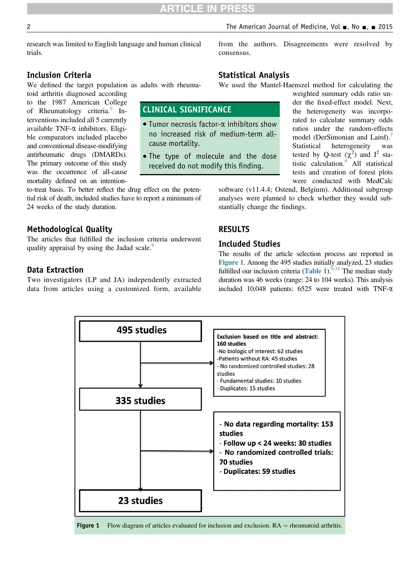CLINICAL SIGNIFICANCE

cause mortality.

 $\bullet$  Tumor necrosis factor- $\alpha$  inhibitors show no increased risk of medium-term all-

 The type of molecule and the dose received do not modify this finding.

# Inclusion Criteria

We defined the target population as adults with rheuma-

toid arthritis diagnosed according to the 1987 American College of Rheumatology criteria.<sup>[5](#page-5-0)</sup> Interventions included all 5 currently available TNF-a inhibitors. Eligible comparators included placebo and conventional disease-modifying antirheumatic drugs (DMARDs). The primary outcome of this study was the occurrence of all-cause mortality defined on an intention-

to-treat basis. To better reflect the drug effect on the potential risk of death, included studies have to report a minimum of 24 weeks of the study duration.

# Methodological Quality

The articles that fulfilled the inclusion criteria underwent quality appraisal by using the Jadad scale.<sup>[6](#page-5-0)</sup>

# Data Extraction

Two investigators (LP and JA) independently extracted data from articles using a customized form, available from the authors. Disagreements were resolved by consensus.

# Statistical Analysis

We used the Mantel-Haenszel method for calculating the

weighted summary odds ratio under the fixed-effect model. Next, the heterogeneity was incorporated to calculate summary odds ratios under the random-effects model (DerSimonian and Laird).<sup>[7](#page-5-0)</sup> Statistical heterogeneity was tested by Q-test  $(\chi^2)$  and I<sup>2</sup> statistic calculation.[8](#page-5-0) All statistical tests and creation of forest plots were conducted with MedCalc

software (v11.4.4; Ostend, Belgium). Additional subgroup analyses were planned to check whether they would substantially change the findings.

# RESULTS

### Included Studies

The results of the article selection process are reported in Figure 1. Among the 495 studies initially analyzed, 23 studies fulfilled our inclusion criteria ([Table 1](#page-2-0)). $9-31$  The median study duration was 46 weeks (range: 24 to 104 weeks). This analysis included 10,048 patients: 6525 were treated with TNF-a



**Figure 1** Flow diagram of articles evaluated for inclusion and exclusion.  $RA =$  rheumatoid arthritis.

trials.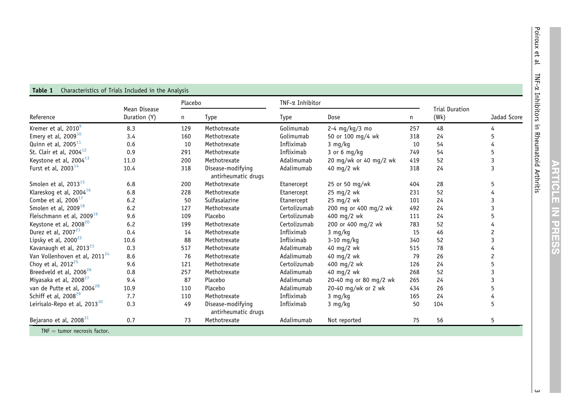**ARTICLE IN PRESS** 

<span id="page-2-0"></span>

| Reference                                 | Mean Disease<br>Duration (Y) | Placebo |                                          | TNF-α Inhibitor |                        |     |                               |             |
|-------------------------------------------|------------------------------|---------|------------------------------------------|-----------------|------------------------|-----|-------------------------------|-------------|
|                                           |                              | n       | <b>Type</b>                              | Type            | Dose                   | n   | <b>Trial Duration</b><br>(Wk) | Jadad Score |
| Kremer et al, 2010 <sup>9</sup>           | 8.3                          | 129     | Methotrexate                             | Golimumab       | $2-4$ mg/kg/3 mo       | 257 | 48                            | 4           |
| Emery et al, $2009^{10}$                  | 3.4                          | 160     | Methotrexate                             | Golimumab       | 50 or 100 mg/4 wk      | 318 | 24                            | 5           |
| Quinn et al, 2005 <sup>11</sup>           | 0.6                          | 10      | Methotrexate                             | Infliximab      | $3 \, mg/kg$           | 10  | 54                            | 4           |
| St. Clair et al, $2004^{12}$              | 0.9                          | 291     | Methotrexate                             | Infliximab      | 3 or 6 mg/kg           | 749 | 54                            | 5           |
| Keystone et al, 2004 <sup>13</sup>        | 11.0                         | 200     | Methotrexate                             | Adalimumab      | 20 mg/wk or 40 mg/2 wk | 419 | 52                            | 3           |
| Furst et al, $2003^{14}$                  | 10.4                         | 318     | Disease-modifying<br>antirheumatic drugs | Adalimumab      | 40 mg/2 wk             | 318 | 24                            | 3           |
| Smolen et al, 2013 <sup>15</sup>          | 6.8                          | 200     | Methotrexate                             | Etanercept      | 25 or 50 mg/wk         | 404 | 28                            | 5           |
| Klareskog et al, 2004 <sup>16</sup>       | 6.8                          | 228     | Methotrexate                             | Etanercept      | 25 mg/2 wk             | 231 | 52                            | 4           |
| Combe et al, $200617$                     | 6.2                          | 50      | Sulfasalazine                            | Etanercept      | 25 mg/2 wk             | 101 | 24                            | 3           |
| Smolen et al, 2009 <sup>18</sup>          | 6.2                          | 127     | Methotrexate                             | Certolizumab    | 200 mg or 400 mg/2 wk  | 492 | 24                            | 3           |
| Fleischmann et al, 2009 <sup>19</sup>     | 9.6                          | 109     | Placebo                                  | Certolizumab    | 400 mg/2 wk            | 111 | 24                            | 5           |
| Keystone et al, 2008 <sup>20</sup>        | 6.2                          | 199     | Methotrexate                             | Certolizumab    | 200 or 400 mg/2 wk     | 783 | 52                            | 4           |
| Durez et al, 2007 <sup>21</sup>           | 0.4                          | 14      | Methotrexate                             | Infliximab      | $3 \, mg/kg$           | 15  | 46                            | 2           |
| Lipsky et al, 2000 <sup>22</sup>          | 10.6                         | 88      | Methotrexate                             | Infliximab      | $3-10$ mg/kg           | 340 | 52                            | 3           |
| Kavanaugh et al, 2013 <sup>23</sup>       | 0.3                          | 517     | Methotrexate                             | Adalimumab      | 40 mg/2 wk             | 515 | 78                            | 4           |
| Van Vollenhoven et al, 2011 <sup>24</sup> | 8.6                          | 76      | Methotrexate                             | Adalimumab      | 40 mg/2 wk             | 79  | 26                            | 2           |
| Choy et al, 2012 <sup>25</sup>            | 9.6                          | 121     | Methotrexate                             | Certolizumab    | 400 mg/2 wk            | 126 | 24                            | 5           |
| Breedveld et al, 2006 <sup>26</sup>       | 0.8                          | 257     | Methotrexate                             | Adalimumab      | 40 mg/2 wk             | 268 | 52                            | 3           |
| Miyasaka et al, 2008 <sup>27</sup>        | 9.4                          | 87      | Placebo                                  | Adalimumab      | 20-40 mg or 80 mg/2 wk | 265 | 24                            | 3           |
| van de Putte et al, 2004 <sup>28</sup>    | 10.9                         | 110     | Placebo                                  | Adalimumab      | 20-40 mg/wk or 2 wk    | 434 | 26                            | 5           |
| Schiff et al, 2008 <sup>29</sup>          | 7.7                          | 110     | Methotrexate                             | Infliximab      | 3 mg/kg                | 165 | 24                            | 4           |
| Leirisalo-Repo et al, 2013 <sup>30</sup>  | 0.3                          | 49      | Disease-modifying<br>antirheumatic drugs | Infliximab      | 3 mg/kg                | 50  | 104                           | 5           |
| Bejarano et al, 2008 <sup>31</sup>        | 0.7                          | 73      | Methotrexate                             | Adalimumab      | Not reported           | 75  | 56                            | 5           |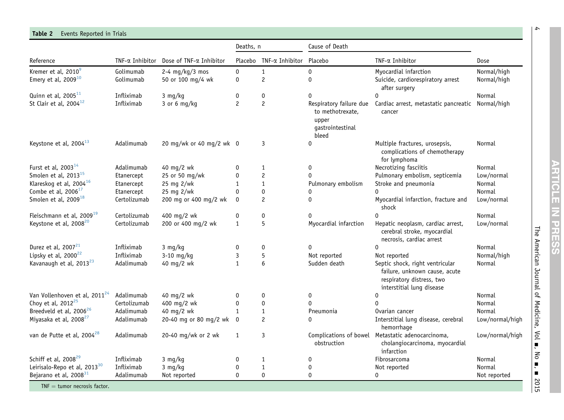#### <span id="page-3-0"></span>**Table 2** Events Reported in Trials

|                                           |                 |                          | Deaths, n      |                         | Cause of Death                                                                    |                                                                                                                            |                 |
|-------------------------------------------|-----------------|--------------------------|----------------|-------------------------|-----------------------------------------------------------------------------------|----------------------------------------------------------------------------------------------------------------------------|-----------------|
| Reference                                 | TNF-α Inhibitor | Dose of TNF-a Inhibitor  |                | Placebo TNF-a Inhibitor | Placebo                                                                           | $INF-\alpha$ Inhibitor                                                                                                     | Dose            |
| Kremer et al, 2010 <sup>9</sup>           | Golimumab       | 2-4 $mg/kg/3$ mos        | $\pmb{0}$      | $\mathbf{1}$            | $\mathbf 0$                                                                       | Myocardial infarction                                                                                                      | Normal/high     |
| Emery et al, $2009^{10}$                  | Golimumab       | 50 or 100 mg/4 wk        | $\mathbf 0$    | $\overline{c}$          | $\mathbf 0$                                                                       | Suicide, cardiorespiratory arrest<br>after surgery                                                                         | Normal/high     |
| Quinn et al, 2005 <sup>11</sup>           | Infliximab      | 3 mg/kg                  | 0              | 0                       | $\mathbf{0}$                                                                      | 0                                                                                                                          | Normal          |
| St Clair et al, $2004^{12}$               | Infliximab      | 3 or 6 mg/kg             | $\overline{c}$ | $\overline{c}$          | Respiratory failure due<br>to methotrexate,<br>upper<br>gastrointestinal<br>bleed | Cardiac arrest, metastatic pancreatic Normal/high<br>cancer                                                                |                 |
| Keystone et al, 2004 <sup>13</sup>        | Adalimumab      | 20 mg/wk or 40 mg/2 wk 0 |                | 3                       | $\mathbf{0}$                                                                      | Multiple fractures, urosepsis,<br>complications of chemotherapy<br>for lymphoma                                            | Normal          |
| Furst et al, 2003 <sup>14</sup>           | Adalimumab      | 40 mg/2 wk               | $\mathbf{0}$   | 1                       | 0                                                                                 | Necrotizing fasciitis                                                                                                      | Normal          |
| Smolen et al, $2013^{15}$                 | Etanercept      | 25 or 50 mg/wk           | $\Omega$       | $\mathbf 2$             |                                                                                   | Pulmonary embolism, septicemia                                                                                             | Low/normal      |
| Klareskog et al, 2004 <sup>16</sup>       | Etanercept      | 25 mg 2/wk               | 1              | $\mathbf{1}$            | Pulmonary embolism                                                                | Stroke and pneumonia                                                                                                       | <b>Normal</b>   |
| Combe et al, 2006 <sup>17</sup>           | Etanercept      | 25 mg 2/wk               | $\mathbf 0$    | 0                       |                                                                                   | $\Omega$                                                                                                                   | <b>Normal</b>   |
| Smolen et al, 2009 <sup>18</sup>          | Certolizumab    | 200 mg or 400 mg/2 wk    | $\mathbf{0}$   | $\overline{c}$          | $\mathbf{0}$                                                                      | Myocardial infarction, fracture and<br>shock                                                                               | Low/normal      |
| Fleischmann et al, 2009 <sup>19</sup>     | Certolizumab    | 400 mg/2 wk              | 0              | 0                       | $\mathbf{0}$                                                                      | 0                                                                                                                          | Normal          |
| Keystone et al, 2008 <sup>20</sup>        | Certolizumab    | 200 or 400 mg/2 wk       | $\mathbf{1}$   | 5                       | Myocardial infarction                                                             | Hepatic neoplasm, cardiac arrest,<br>cerebral stroke, myocardial<br>necrosis, cardiac arrest                               | Low/normal      |
| Durez et al, 2007 <sup>21</sup>           | Infliximab      | 3 mg/kg                  | 0              | 0                       | $\mathbf{0}$                                                                      | $\Omega$                                                                                                                   | Normal          |
| Lipsky et al, $2000^{22}$                 | Infliximab      | $3-10$ mg/kg             | 3              | 5                       | Not reported                                                                      | Not reported                                                                                                               | Normal/high     |
| Kavanaugh et al, 2013 <sup>23</sup>       | Adalimumab      | 40 mg/2 wk               | $\mathbf{1}$   | 6                       | Sudden death                                                                      | Septic shock, right ventricular<br>failure, unknown cause, acute<br>respiratory distress, two<br>interstitial lung disease | Normal          |
| Van Vollenhoven et al, 2011 <sup>24</sup> | Adalimumab      | 40 mg/2 wk               | 0              | 0                       | 0                                                                                 | 0                                                                                                                          | Normal          |
| Choy et al, 2012 <sup>25</sup>            | Certolizumab    | 400 mg/2 wk              | 0              | 0                       | 0                                                                                 | 0                                                                                                                          | Normal          |
| Breedveld et al, 2006 <sup>26</sup>       | Adalimumab      | 40 mg/2 wk               | $\mathbf{1}$   | $\mathbf{1}$            | Pneumonia                                                                         | Ovarian cancer                                                                                                             | Normal          |
| Miyasaka et al, 2008 <sup>27</sup>        | Adalimumab      | 20-40 mg or 80 mg/2 wk   | $\mathbf 0$    | $\overline{c}$          | $\Omega$                                                                          | Interstitial lung disease, cerebral<br>hemorrhage                                                                          | Low/normal/high |
| van de Putte et al, 2004 <sup>28</sup>    | Adalimumab      | 20-40 mg/wk or 2 wk      | 1              | $\mathbf{3}$            | obstruction                                                                       | Complications of bowel Metastatic adenocarcinoma,<br>cholangiocarcinoma, myocardial<br>infarction                          | Low/normal/high |
| Schiff et al, 2008 <sup>29</sup>          | Infliximab      | 3 mg/kg                  | 0              | 1                       | 0                                                                                 | Fibrosarcoma                                                                                                               | Normal          |
| Leirisalo-Repo et al, 2013 <sup>30</sup>  | Infliximab      | 3 mg/kg                  | 0              | $\mathbf{1}$            | 0                                                                                 | Not reported                                                                                                               | Normal          |
| Bejarano et al, 2008 <sup>31</sup>        | Adalimumab      | Not reported             | $\Omega$       | $\Omega$                | $\mathbf{0}$                                                                      | 0                                                                                                                          | Not reported    |

TNF  $=$  tumor necrosis factor.

4 The American Journal of Medicine, Vol -, No

- , -

2015

 $\rightarrow$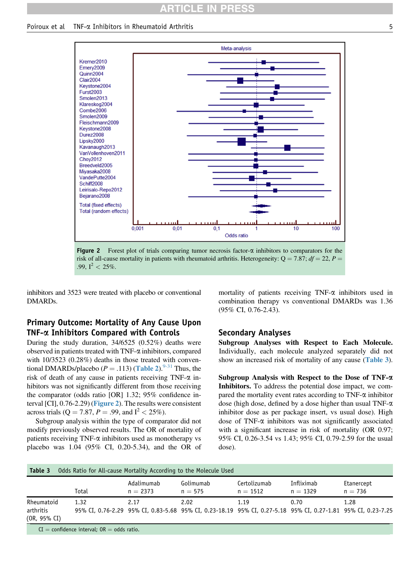# RTICLE IN

Poiroux et al  $\Gamma$  TNF- $\alpha$  Inhibitors in Rheumatoid Arthritis 5



Figure 2 Forest plot of trials comparing tumor necrosis factor- $\alpha$  inhibitors to comparators for the risk of all-cause mortality in patients with rheumatoid arthritis. Heterogeneity:  $Q = 7.87$ ;  $df = 22$ ,  $P =$ .99,  $I^2 < 25\%$ .

inhibitors and 3523 were treated with placebo or conventional DMARDs.

# Primary Outcome: Mortality of Any Cause Upon TNF-a Inhibitors Compared with Controls

During the study duration, 34/6525 (0.52%) deaths were observed in patients treated with  $TNF-\alpha$  inhibitors, compared with 10/3523 (0.28%) deaths in those treated with conventional DMARDs/placebo ( $P = .113$ ) ([Table 2](#page-3-0)).<sup>[9-31](#page-5-0)</sup> Thus, the risk of death of any cause in patients receiving  $TNF-\alpha$  inhibitors was not significantly different from those receiving the comparator (odds ratio [OR] 1.32; 95% confidence interval [CI], 0.76-2.29) (Figure 2). The results were consistent across trials (Q = 7.87, P = .99, and  $I^2 < 25\%$ ).

Subgroup analysis within the type of comparator did not modify previously observed results. The OR of mortality of patients receiving TNF- $\alpha$  inhibitors used as monotherapy vs placebo was 1.04 (95% CI, 0.20-5.34), and the OR of mortality of patients receiving TNF- $\alpha$  inhibitors used in combination therapy vs conventional DMARDs was 1.36 (95% CI, 0.76-2.43).

### Secondary Analyses

Subgroup Analyses with Respect to Each Molecule. Individually, each molecule analyzed separately did not show an increased risk of mortality of any cause (Table 3).

Subgroup Analysis with Respect to the Dose of TNF-a Inhibitors. To address the potential dose impact, we compared the mortality event rates according to  $TNF-\alpha$  inhibitor dose (high dose, defined by a dose higher than usual TNF-a inhibitor dose as per package insert, vs usual dose). High dose of TNF- $\alpha$  inhibitors was not significantly associated with a significant increase in risk of mortality (OR 0.97; 95% CI, 0.26-3.54 vs 1.43; 95% CI, 0.79-2.59 for the usual dose).

| Table 3                                 | Odds Ratio for All-cause Mortality According to the Molecule Used |                          |                                                                                                                      |                            |                          |                         |  |  |  |  |
|-----------------------------------------|-------------------------------------------------------------------|--------------------------|----------------------------------------------------------------------------------------------------------------------|----------------------------|--------------------------|-------------------------|--|--|--|--|
|                                         | Total                                                             | Adalimumab<br>$n = 2373$ | Golimumab<br>$n = 575$                                                                                               | Certolizumab<br>$n = 1512$ | Infliximab<br>$n = 1329$ | Etanercept<br>$n = 736$ |  |  |  |  |
| Rheumatoid<br>arthritis<br>(OR, 95% CI) | 1.32                                                              | 2.17                     | 2.02<br>95% CI, 0.76-2.29 95% CI, 0.83-5.68 95% CI, 0.23-18.19 95% CI, 0.27-5.18 95% CI, 0.27-1.81 95% CI, 0.23-7.25 | 1.19                       | 0.70                     | 1.28                    |  |  |  |  |

 $CI =$  confidence interval;  $OR =$  odds ratio.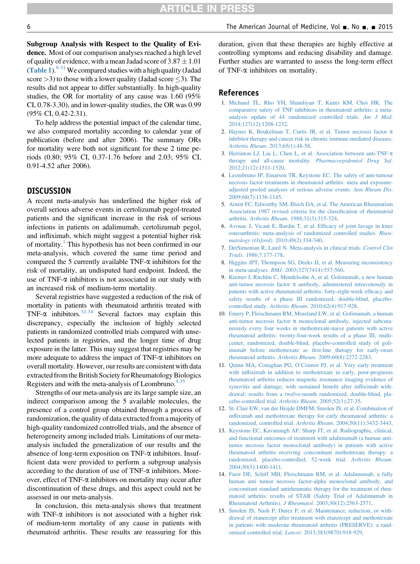<span id="page-5-0"></span>Subgroup Analysis with Respect to the Quality of Evidence. Most of our comparison analyses reached a high level of quality of evidence, with a mean Jadad score of  $3.87 \pm 1.01$ ([Table 1](#page-2-0)).  $9-31$  We compared studies with a high quality (Jadad score  $>$ 3) to those with a lower quality (Jadad score  $\leq$ 3). The results did not appear to differ substantially. In high-quality studies, the OR for mortality of any cause was 1.60 (95% CI, 0.78-3.30), and in lower-quality studies, the OR was 0.99 (95% CI, 0.42-2.31).

To help address the potential impact of the calendar time, we also compared mortality according to calendar year of publication (before and after 2006). The summary ORs for mortality were both not significant for these 2 time periods (0.80; 95% CI, 0.37-1.76 before and 2.03; 95% CI, 0.91-4.52 after 2006).

### DISCUSSION

A recent meta-analysis has underlined the higher risk of overall serious adverse events in certolizumab pegol-treated patients and the significant increase in the risk of serious infections in patients on adalimumab, certolizumab pegol, and infliximab, which might suggest a potential higher risk of mortality.<sup>1</sup> This hypothesis has not been confirmed in our meta-analysis, which covered the same time period and compared the 5 currently available  $TNF-\alpha$  inhibitors for the risk of mortality, an undisputed hard endpoint. Indeed, the use of TNF- $\alpha$  inhibitors is not associated in our study with an increased risk of medium-term mortality.

Several registries have suggested a reduction of the risk of mortality in patients with rheumatoid arthritis treated with TNF- $\alpha$  inhibitors.<sup>[32-34](#page-6-0)</sup> Several factors may explain this discrepancy, especially the inclusion of highly selected patients in randomized controlled trials compared with unselected patients in registries, and the longer time of drug exposure in the latter. This may suggest that registries may be more adequate to address the impact of  $TNF-\alpha$  inhibitors on overall mortality. However, our results are consistent with data extracted from the British Society for Rheumatology Biologics Registers and with the meta-analysis of Leombruno. $4,35$ 

Strengths of our meta-analysis are its large sample size, an indirect comparison among the 5 available molecules, the presence of a control group obtained through a process of randomization, the quality of data extracted from a majority of high-quality randomized controlled trials, and the absence of heterogeneity among included trials. Limitations of our metaanalysis included the generalization of our results and the absence of long-term exposition on TNF- $\alpha$  inhibitors. Insufficient data were provided to perform a subgroup analysis according to the duration of use of  $TNF-\alpha$  inhibitors. Moreover, effect of TNF-a inhibitors on mortality may occur after discontinuation of these drugs, and this aspect could not be assessed in our meta-analysis.

In conclusion, this meta-analysis shows that treatment with  $TNF-\alpha$  inhibitors is not associated with a higher risk of medium-term mortality of any cause in patients with rheumatoid arthritis. These results are reassuring for this

duration, given that these therapies are highly effective at controlling symptoms and reducing disability and damage. Further studies are warranted to assess the long-term effect of TNF-a inhibitors on mortality.

#### References

- 1. [Michaud TL, Rho YH, Shamliyan T, Kuntz KM, Choi HK. The](http://refhub.elsevier.com/S0002-9343(15)00697-X/sref1) [comparative safety of TNF inhibitors in rheumatoid arthritis: a meta](http://refhub.elsevier.com/S0002-9343(15)00697-X/sref1)[analysis update of 44 randomized controlled trials.](http://refhub.elsevier.com/S0002-9343(15)00697-X/sref1) Am J Med. [2014;127\(12\):1208-1232.](http://refhub.elsevier.com/S0002-9343(15)00697-X/sref1)
- 2. [Haynes K, Beukelman T, Curtis JR, et al. Tumor necrosis factor](http://refhub.elsevier.com/S0002-9343(15)00697-X/sref2) a [inhibitor therapy and cancer risk in chronic immune-mediated diseases.](http://refhub.elsevier.com/S0002-9343(15)00697-X/sref2) Arthritis Rheum[. 2013;65\(1\):48-58](http://refhub.elsevier.com/S0002-9343(15)00697-X/sref2).
- 3. [Herrinton LJ, Liu L, Chen L, et al. Association between anti-TNF-](http://refhub.elsevier.com/S0002-9343(15)00697-X/sref3)a [therapy and all-cause mortality.](http://refhub.elsevier.com/S0002-9343(15)00697-X/sref3) Pharmacoepidemiol Drug Saf. [2012;21\(12\):1311-1320.](http://refhub.elsevier.com/S0002-9343(15)00697-X/sref3)
- 4. [Leombruno JP, Einarson TR, Keystone EC. The safety of anti-tumour](http://refhub.elsevier.com/S0002-9343(15)00697-X/sref4) [necrosis factor treatments in rheumatoid arthritis: meta and exposure](http://refhub.elsevier.com/S0002-9343(15)00697-X/sref4)[adjusted pooled analyses of serious adverse events.](http://refhub.elsevier.com/S0002-9343(15)00697-X/sref4) Ann Rheum Dis. [2009;68\(7\):1136-1145.](http://refhub.elsevier.com/S0002-9343(15)00697-X/sref4)
- 5. [Arnett FC, Edworthy SM, Bloch DA, et al. The American Rheumatism](http://refhub.elsevier.com/S0002-9343(15)00697-X/sref5) [Association 1987 revised criteria for the classi](http://refhub.elsevier.com/S0002-9343(15)00697-X/sref5)fication of rheumatoid arthritis. Arthritis Rheum[. 1988;31\(3\):315-324](http://refhub.elsevier.com/S0002-9343(15)00697-X/sref5).
- 6. [Avouac J, Vicaut E, Bardin T, et al. Ef](http://refhub.elsevier.com/S0002-9343(15)00697-X/sref6)ficacy of joint lavage in knee [osteoarthritis: meta-analysis of randomized controlled studies.](http://refhub.elsevier.com/S0002-9343(15)00697-X/sref6) Rheumatology (Oxford)[. 2010;49\(2\):334-340.](http://refhub.elsevier.com/S0002-9343(15)00697-X/sref6)
- 7. [DerSimonian R, Laird N. Meta-analysis in clinical trials.](http://refhub.elsevier.com/S0002-9343(15)00697-X/sref7) Control Clin Trials[. 1986;7:177-178](http://refhub.elsevier.com/S0002-9343(15)00697-X/sref7).
- 8. [Higgins JPT, Thompson SG, Deeks JJ, et al. Measuring inconsistency](http://refhub.elsevier.com/S0002-9343(15)00697-X/sref8) in meta-analyses. BMJ[. 2003;327\(7414\):557-560.](http://refhub.elsevier.com/S0002-9343(15)00697-X/sref8)
- 9. [Kremer J, Ritchlin C, Mendelsohn A, et al. Golimumab, a new human](http://refhub.elsevier.com/S0002-9343(15)00697-X/sref9) anti-tumor necrosis factor  $\alpha$  [antibody, administered intravenously in](http://refhub.elsevier.com/S0002-9343(15)00697-X/sref9) [patients with active rheumatoid arthritis: forty-eight-week ef](http://refhub.elsevier.com/S0002-9343(15)00697-X/sref9)ficacy and [safety results of a phase III randomized, double-blind, placebo](http://refhub.elsevier.com/S0002-9343(15)00697-X/sref9)controlled study. Arthritis Rheum[. 2010;62\(4\):917-928.](http://refhub.elsevier.com/S0002-9343(15)00697-X/sref9)
- 10. [Emery P, Fleischmann RM, Moreland LW, et al. Golimumab, a human](http://refhub.elsevier.com/S0002-9343(15)00697-X/sref10) anti-tumor necrosis factor  $\alpha$  [monoclonal antibody, injected subcuta](http://refhub.elsevier.com/S0002-9343(15)00697-X/sref10)[neously every four weeks in methotrexate-naive patients with active](http://refhub.elsevier.com/S0002-9343(15)00697-X/sref10) [rheumatoid arthritis: twenty-four-week results of a phase III, multi](http://refhub.elsevier.com/S0002-9343(15)00697-X/sref10)[center, randomized, double-blind, placebo-controlled study of goli](http://refhub.elsevier.com/S0002-9343(15)00697-X/sref10)[mumab before methotrexate as](http://refhub.elsevier.com/S0002-9343(15)00697-X/sref10) first-line therapy for early-onset rheumatoid arthritis. Arthritis Rheum[. 2009;60\(8\):2272-2283.](http://refhub.elsevier.com/S0002-9343(15)00697-X/sref10)
- 11. Quinn MA, Conaghan PG, O'[Connor PJ, et al. Very early treatment](http://refhub.elsevier.com/S0002-9343(15)00697-X/sref11) with infl[iximab in addition to methotrexate in early, poor-prognosis](http://refhub.elsevier.com/S0002-9343(15)00697-X/sref11) [rheumatoid arthritis reduces magnetic resonance imaging evidence of](http://refhub.elsevier.com/S0002-9343(15)00697-X/sref11) [synovitis and damage, with sustained bene](http://refhub.elsevier.com/S0002-9343(15)00697-X/sref11)fit after infliximab with[drawal: results from a twelve-month randomized, double-blind, pla](http://refhub.elsevier.com/S0002-9343(15)00697-X/sref11)[cebo-controlled trial.](http://refhub.elsevier.com/S0002-9343(15)00697-X/sref11) Arthritis Rheum. 2005;52(1):27-35.
- 12. [St. Clair EW, van der Heijde DMFM, Smolen JS, et al. Combination of](http://refhub.elsevier.com/S0002-9343(15)00697-X/sref12) infl[iximab and methotrexate therapy for early rheumatoid arthritis: a](http://refhub.elsevier.com/S0002-9343(15)00697-X/sref12) [randomized, controlled trial.](http://refhub.elsevier.com/S0002-9343(15)00697-X/sref12) Arthritis Rheum. 2004;50(11):3432-3443.
- 13. [Keystone EC, Kavanaugh AF, Sharp JT, et al. Radiographic, clinical,](http://refhub.elsevier.com/S0002-9343(15)00697-X/sref13) [and functional outcomes of treatment with adalimumab \(a human anti](http://refhub.elsevier.com/S0002-9343(15)00697-X/sref13)[tumor necrosis factor monoclonal antibody\) in patients with active](http://refhub.elsevier.com/S0002-9343(15)00697-X/sref13) [rheumatoid arthritis receiving concomitant methotrexate therapy: a](http://refhub.elsevier.com/S0002-9343(15)00697-X/sref13) [randomized, placebo-controlled, 52-week trial.](http://refhub.elsevier.com/S0002-9343(15)00697-X/sref13) Arthritis Rheum. [2004;50\(5\):1400-1411.](http://refhub.elsevier.com/S0002-9343(15)00697-X/sref13)
- 14. [Furst DE, Schiff MH, Fleischmann RM, et al. Adalimumab, a fully](http://refhub.elsevier.com/S0002-9343(15)00697-X/sref14) [human anti tumor necrosis factor-alpha monoclonal antibody, and](http://refhub.elsevier.com/S0002-9343(15)00697-X/sref14) [concomitant standard antirheumatic therapy for the treatment of rheu](http://refhub.elsevier.com/S0002-9343(15)00697-X/sref14)[matoid arthritis: results of STAR \(Safety Trial of Adalimumab in](http://refhub.elsevier.com/S0002-9343(15)00697-X/sref14) Rheumatoid Arthritis). J Rheumatol[. 2003;30\(12\):2563-2571.](http://refhub.elsevier.com/S0002-9343(15)00697-X/sref14)
- 15. [Smolen JS, Nash P, Durez P, et al. Maintenance, reduction, or with](http://refhub.elsevier.com/S0002-9343(15)00697-X/sref15)[drawal of etanercept after treatment with etanercept and methotrexate](http://refhub.elsevier.com/S0002-9343(15)00697-X/sref15) [in patients with moderate rheumatoid arthritis \(PRESERVE\): a rand](http://refhub.elsevier.com/S0002-9343(15)00697-X/sref15)omised controlled trial. Lancet[. 2013;381\(9870\):918-929.](http://refhub.elsevier.com/S0002-9343(15)00697-X/sref15)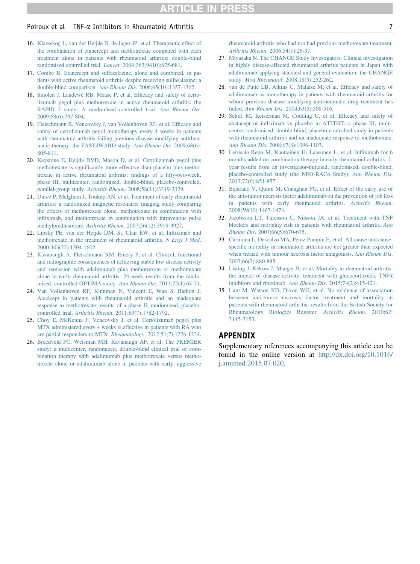#### <span id="page-6-0"></span>Poiroux et al TNF-a Inhibitors in Rheumatoid Arthritis 7

- 16. [Klareskog L, van der Heijde D, de Jager JP, et al. Therapeutic effect of](http://refhub.elsevier.com/S0002-9343(15)00697-X/sref16) [the combination of etanercept and methotrexate compared with each](http://refhub.elsevier.com/S0002-9343(15)00697-X/sref16) [treatment alone in patients with rheumatoid arthritis: double-blind](http://refhub.elsevier.com/S0002-9343(15)00697-X/sref16) [randomised controlled trial.](http://refhub.elsevier.com/S0002-9343(15)00697-X/sref16) Lancet. 2004;363(9410):675-681.
- 17. [Combe B. Etanercept and sulfasalazine, alone and combined, in pa](http://refhub.elsevier.com/S0002-9343(15)00697-X/sref17)[tients with active rheumatoid arthritis despite receiving sulfasalazine: a](http://refhub.elsevier.com/S0002-9343(15)00697-X/sref17) [double-blind comparison.](http://refhub.elsevier.com/S0002-9343(15)00697-X/sref17) Ann Rheum Dis. 2006;65(10):1357-1362.
- 18. [Smolen J, Landewé RB, Mease P, et al. Ef](http://refhub.elsevier.com/S0002-9343(15)00697-X/sref18)ficacy and safety of certo[lizumab pegol plus methotrexate in active rheumatoid arthritis: the](http://refhub.elsevier.com/S0002-9343(15)00697-X/sref18) [RAPID 2 study. A randomised controlled trial.](http://refhub.elsevier.com/S0002-9343(15)00697-X/sref18) Ann Rheum Dis. [2009;68\(6\):797-804.](http://refhub.elsevier.com/S0002-9343(15)00697-X/sref18)
- 19. [Fleischmann R, Vencovsky J, van Vollenhoven RF, et al. Ef](http://refhub.elsevier.com/S0002-9343(15)00697-X/sref19)ficacy and [safety of certolizumab pegol monotherapy every 4 weeks in patients](http://refhub.elsevier.com/S0002-9343(15)00697-X/sref19) [with rheumatoid arthritis failing previous disease-modifying antirheu](http://refhub.elsevier.com/S0002-9343(15)00697-X/sref19)[matic therapy: the FAST4WARD study.](http://refhub.elsevier.com/S0002-9343(15)00697-X/sref19) Ann Rheum Dis. 2009;68(6): [805-811.](http://refhub.elsevier.com/S0002-9343(15)00697-X/sref19)
- 20. [Keystone E, Heijde DVD, Mason D, et al. Certolizumab pegol plus](http://refhub.elsevier.com/S0002-9343(15)00697-X/sref20) methotrexate is signifi[cantly more effective than placebo plus metho](http://refhub.elsevier.com/S0002-9343(15)00697-X/sref20)[trexate in active rheumatoid arthritis:](http://refhub.elsevier.com/S0002-9343(15)00697-X/sref20) findings of a fifty-two-week, [phase III, multicenter, randomized, double-blind, placebo-controlled,](http://refhub.elsevier.com/S0002-9343(15)00697-X/sref20) parallel-group study. Arthritis Rheum[. 2008;58\(11\):3319-3329](http://refhub.elsevier.com/S0002-9343(15)00697-X/sref20).
- 21. [Durez P, Malghem J, Toukap AN, et al. Treatment of early rheumatoid](http://refhub.elsevier.com/S0002-9343(15)00697-X/sref21) [arthritis: a randomized magnetic resonance imaging study comparing](http://refhub.elsevier.com/S0002-9343(15)00697-X/sref21) [the effects of methotrexate alone, methotrexate in combination with](http://refhub.elsevier.com/S0002-9343(15)00697-X/sref21) infl[iximab, and methotrexate in combination with intravenous pulse](http://refhub.elsevier.com/S0002-9343(15)00697-X/sref21) methylprednisolone. Arthritis Rheum[. 2007;56\(12\):3919-3927.](http://refhub.elsevier.com/S0002-9343(15)00697-X/sref21)
- 22. [Lipsky PE, van der Heijde DM, St. Clair EW, et al. In](http://refhub.elsevier.com/S0002-9343(15)00697-X/sref22)fliximab and [methotrexate in the treatment of rheumatoid arthritis.](http://refhub.elsevier.com/S0002-9343(15)00697-X/sref22) N Engl J Med. [2000;343\(22\):1594-1602.](http://refhub.elsevier.com/S0002-9343(15)00697-X/sref22)
- 23. [Kavanaugh A, Fleischmann RM, Emery P, et al. Clinical, functional](http://refhub.elsevier.com/S0002-9343(15)00697-X/sref23) [and radiographic consequences of achieving stable low disease activity](http://refhub.elsevier.com/S0002-9343(15)00697-X/sref23) [and remission with adalimumab plus methotrexate or methotrexate](http://refhub.elsevier.com/S0002-9343(15)00697-X/sref23) [alone in early rheumatoid arthritis: 26-week results from the rando](http://refhub.elsevier.com/S0002-9343(15)00697-X/sref23)[mised, controlled OPTIMA study.](http://refhub.elsevier.com/S0002-9343(15)00697-X/sref23) Ann Rheum Dis. 2013;72(1):64-71.
- 24. [Van Vollenhoven RF, Kinnman N, Vincent E, Wax S, Bathon J.](http://refhub.elsevier.com/S0002-9343(15)00697-X/sref24) [Atacicept in patients with rheumatoid arthritis and an inadequate](http://refhub.elsevier.com/S0002-9343(15)00697-X/sref24) [response to methotrexate: results of a phase II, randomized, placebo](http://refhub.elsevier.com/S0002-9343(15)00697-X/sref24)controlled trial. Arthritis Rheum[. 2011;63\(7\):1782-1792](http://refhub.elsevier.com/S0002-9343(15)00697-X/sref24).
- 25. [Choy E, McKenna F, Vencovsky J, et al. Certolizumab pegol plus](http://refhub.elsevier.com/S0002-9343(15)00697-X/sref25) [MTX administered every 4 weeks is effective in patients with RA who](http://refhub.elsevier.com/S0002-9343(15)00697-X/sref25) [are partial responders to MTX.](http://refhub.elsevier.com/S0002-9343(15)00697-X/sref25) Rheumatology. 2012;51(7):1226-1234.
- 26. [Breedveld FC, Weisman MH, Kavanaugh AF, et al. The PREMIER](http://refhub.elsevier.com/S0002-9343(15)00697-X/sref26) [study: a multicenter, randomized, double-blind clinical trial of com](http://refhub.elsevier.com/S0002-9343(15)00697-X/sref26)[bination therapy with adalimumab plus methotrexate versus metho](http://refhub.elsevier.com/S0002-9343(15)00697-X/sref26)[trexate alone or adalimumab alone in patients with early, aggressive](http://refhub.elsevier.com/S0002-9343(15)00697-X/sref26)

[rheumatoid arthritis who had not had previous methotrexate treatment.](http://refhub.elsevier.com/S0002-9343(15)00697-X/sref26) Arthritis Rheum[. 2006;54\(1\):26-37.](http://refhub.elsevier.com/S0002-9343(15)00697-X/sref26)

- 27. [Miyasaka N. The CHANGE Study Investigators. Clinical investigation](http://refhub.elsevier.com/S0002-9343(15)00697-X/sref27) [in highly disease-affected rheumatoid arthritis patients in Japan with](http://refhub.elsevier.com/S0002-9343(15)00697-X/sref27) [adalimumab applying standard and general evaluation: the CHANGE](http://refhub.elsevier.com/S0002-9343(15)00697-X/sref27) study. Mod Rheumatol[. 2008;18\(3\):252-262.](http://refhub.elsevier.com/S0002-9343(15)00697-X/sref27)
- 28. [van de Putte LB, Atkins C, Malaise M, et al. Ef](http://refhub.elsevier.com/S0002-9343(15)00697-X/sref28)ficacy and safety of [adalimumab as monotherapy in patients with rheumatoid arthritis for](http://refhub.elsevier.com/S0002-9343(15)00697-X/sref28) [whom previous disease modifying antirheumatic drug treatment has](http://refhub.elsevier.com/S0002-9343(15)00697-X/sref28) failed. Ann Rheum Dis[. 2004;63\(5\):508-516.](http://refhub.elsevier.com/S0002-9343(15)00697-X/sref28)
- 29. [Schiff M, Keiserman M, Codding C, et al. Ef](http://refhub.elsevier.com/S0002-9343(15)00697-X/sref29)ficacy and safety of abatacept or infl[iximab vs placebo in ATTEST: a phase III, multi](http://refhub.elsevier.com/S0002-9343(15)00697-X/sref29)[centre, randomised, double-blind, placebo-controlled study in patients](http://refhub.elsevier.com/S0002-9343(15)00697-X/sref29) [with rheumatoid arthritis and an inadequate response to methotrexate.](http://refhub.elsevier.com/S0002-9343(15)00697-X/sref29) Ann Rheum Dis[. 2008;67\(8\):1096-1103](http://refhub.elsevier.com/S0002-9343(15)00697-X/sref29).
- 30. [Leirisalo-Repo M, Kautiainen H, Laasonen L, et al. In](http://refhub.elsevier.com/S0002-9343(15)00697-X/sref30)fliximab for 6 [months added on combination therapy in early rheumatoid arthritis: 2](http://refhub.elsevier.com/S0002-9343(15)00697-X/sref30) [year results from an investigator-initiated, randomised, double-blind,](http://refhub.elsevier.com/S0002-9343(15)00697-X/sref30) [placebo-controlled study \(the NEO-RACo Study\).](http://refhub.elsevier.com/S0002-9343(15)00697-X/sref30) Ann Rheum Dis. [2013;72\(6\):851-857.](http://refhub.elsevier.com/S0002-9343(15)00697-X/sref30)
- 31. [Bejarano V, Quinn M, Conaghan PG, et al. Effect of the early use of](http://refhub.elsevier.com/S0002-9343(15)00697-X/sref31) [the anti-tumor necrosis factor adalimumab on the prevention of job loss](http://refhub.elsevier.com/S0002-9343(15)00697-X/sref31) [in patients with early rheumatoid arthritis.](http://refhub.elsevier.com/S0002-9343(15)00697-X/sref31) Arthritis Rheum. [2008;59\(10\):1467-1474.](http://refhub.elsevier.com/S0002-9343(15)00697-X/sref31)
- 32. [Jacobsson LT, Turesson C, Nilsson JA, et al. Treatment with TNF](http://refhub.elsevier.com/S0002-9343(15)00697-X/sref32) [blockers and mortality risk in patients with rheumatoid arthritis.](http://refhub.elsevier.com/S0002-9343(15)00697-X/sref32) Ann Rheum Dis[. 2007;66\(5\):670-675.](http://refhub.elsevier.com/S0002-9343(15)00697-X/sref32)
- 33. [Carmona L, Descalzo MA, Perez-Pampin E, et al. All-cause and cause](http://refhub.elsevier.com/S0002-9343(15)00697-X/sref33)specifi[c mortality in rheumatoid arthritis are not greater than expected](http://refhub.elsevier.com/S0002-9343(15)00697-X/sref33) [when treated with tumour necrosis factor antagonists.](http://refhub.elsevier.com/S0002-9343(15)00697-X/sref33) Ann Rheum Dis. [2007;66\(7\):880-885.](http://refhub.elsevier.com/S0002-9343(15)00697-X/sref33)
- 34. [Listing J, Kekow J, Manger B, et al. Mortality in rheumatoid arthritis:](http://refhub.elsevier.com/S0002-9343(15)00697-X/sref34) [the impact of disease activity, treatment with glucocorticoids, TNF](http://refhub.elsevier.com/S0002-9343(15)00697-X/sref34)a [inhibitors and rituximab.](http://refhub.elsevier.com/S0002-9343(15)00697-X/sref34) Ann Rheum Dis. 2015;74(2):415-421.
- 35. [Lunt M, Watson KD, Dixon WG, et al. No evidence of association](http://refhub.elsevier.com/S0002-9343(15)00697-X/sref35) [between anti-tumor necrosis factor treatment and mortality in](http://refhub.elsevier.com/S0002-9343(15)00697-X/sref35) [patients with rheumatoid arthritis: results from the British Society for](http://refhub.elsevier.com/S0002-9343(15)00697-X/sref35) [Rheumatology Biologics Register.](http://refhub.elsevier.com/S0002-9343(15)00697-X/sref35) Arthritis Rheum. 2010;62: [3145-3153](http://refhub.elsevier.com/S0002-9343(15)00697-X/sref35).

### APPENDIX

Supplementary references accompanying this article can be found in the online version at [http://dx.doi.org/10.1016/](http://dx.doi.org/10.1016/j.amjmed.2015.07.020) [j.amjmed.2015.07.020](http://dx.doi.org/10.1016/j.amjmed.2015.07.020).